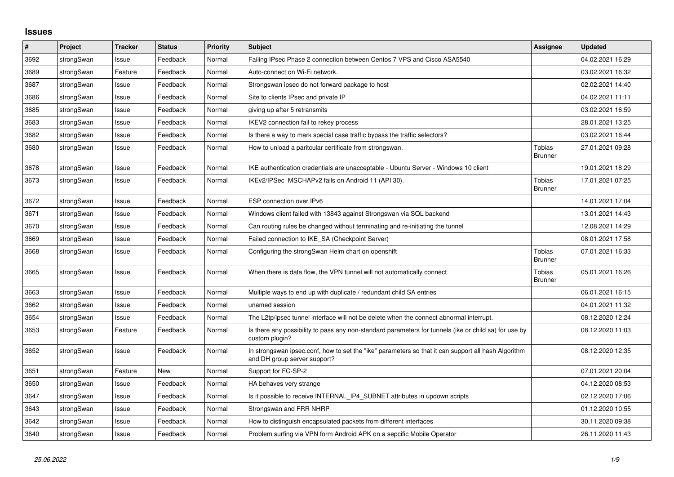## **Issues**

| $\vert$ # | Project    | <b>Tracker</b> | <b>Status</b> | Priority | <b>Subject</b>                                                                                                                      | Assignee                        | <b>Updated</b>   |
|-----------|------------|----------------|---------------|----------|-------------------------------------------------------------------------------------------------------------------------------------|---------------------------------|------------------|
| 3692      | strongSwan | Issue          | Feedback      | Normal   | Failing IPsec Phase 2 connection between Centos 7 VPS and Cisco ASA5540                                                             |                                 | 04.02.2021 16:29 |
| 3689      | strongSwan | Feature        | Feedback      | Normal   | Auto-connect on Wi-Fi network.                                                                                                      |                                 | 03.02.2021 16:32 |
| 3687      | strongSwan | Issue          | Feedback      | Normal   | Strongswan ipsec do not forward package to host                                                                                     |                                 | 02.02.2021 14:40 |
| 3686      | strongSwan | Issue          | Feedback      | Normal   | Site to clients IPsec and private IP                                                                                                |                                 | 04.02.2021 11:11 |
| 3685      | strongSwan | Issue          | Feedback      | Normal   | giving up after 5 retransmits                                                                                                       |                                 | 03.02.2021 16:59 |
| 3683      | strongSwan | Issue          | Feedback      | Normal   | IKEV2 connection fail to rekey process                                                                                              |                                 | 28.01.2021 13:25 |
| 3682      | strongSwan | Issue          | Feedback      | Normal   | Is there a way to mark special case traffic bypass the traffic selectors?                                                           |                                 | 03.02.2021 16:44 |
| 3680      | strongSwan | Issue          | Feedback      | Normal   | How to unload a paritcular certificate from strongswan.                                                                             | <b>Tobias</b><br><b>Brunner</b> | 27.01.2021 09:28 |
| 3678      | strongSwan | Issue          | Feedback      | Normal   | IKE authentication credentials are unacceptable - Ubuntu Server - Windows 10 client                                                 |                                 | 19.01.2021 18:29 |
| 3673      | strongSwan | Issue          | Feedback      | Normal   | IKEv2/IPSec MSCHAPv2 fails on Android 11 (API 30).                                                                                  | Tobias<br><b>Brunner</b>        | 17.01.2021 07:25 |
| 3672      | strongSwan | Issue          | Feedback      | Normal   | ESP connection over IPv6                                                                                                            |                                 | 14.01.2021 17:04 |
| 3671      | strongSwan | Issue          | Feedback      | Normal   | Windows client failed with 13843 against Strongswan via SQL backend                                                                 |                                 | 13.01.2021 14:43 |
| 3670      | strongSwan | Issue          | Feedback      | Normal   | Can routing rules be changed without terminating and re-initiating the tunnel                                                       |                                 | 12.08.2021 14:29 |
| 3669      | strongSwan | Issue          | Feedback      | Normal   | Failed connection to IKE SA (Checkpoint Server)                                                                                     |                                 | 08.01.2021 17:58 |
| 3668      | strongSwan | Issue          | Feedback      | Normal   | Configuring the strongSwan Helm chart on openshift                                                                                  | <b>Tobias</b><br><b>Brunner</b> | 07.01.2021 16:33 |
| 3665      | strongSwan | Issue          | Feedback      | Normal   | When there is data flow, the VPN tunnel will not automatically connect                                                              | <b>Tobias</b><br><b>Brunner</b> | 05.01.2021 16:26 |
| 3663      | strongSwan | Issue          | Feedback      | Normal   | Multiple ways to end up with duplicate / redundant child SA entries                                                                 |                                 | 06.01.2021 16:15 |
| 3662      | strongSwan | Issue          | Feedback      | Normal   | unamed session                                                                                                                      |                                 | 04.01.2021 11:32 |
| 3654      | strongSwan | Issue          | Feedback      | Normal   | The L2tp/ipsec tunnel interface will not be delete when the connect abnormal interrupt.                                             |                                 | 08.12.2020 12:24 |
| 3653      | strongSwan | Feature        | Feedback      | Normal   | Is there any possibility to pass any non-standard parameters for tunnels (ike or child sa) for use by<br>custom plugin?             |                                 | 08.12.2020 11:03 |
| 3652      | strongSwan | Issue          | Feedback      | Normal   | In strongswan ipsec.conf, how to set the "ike" parameters so that it can support all hash Algorithm<br>and DH group server support? |                                 | 08.12.2020 12:35 |
| 3651      | strongSwan | Feature        | New           | Normal   | Support for FC-SP-2                                                                                                                 |                                 | 07.01.2021 20:04 |
| 3650      | strongSwan | Issue          | Feedback      | Normal   | HA behaves very strange                                                                                                             |                                 | 04.12.2020 08:53 |
| 3647      | strongSwan | Issue          | Feedback      | Normal   | Is it possible to receive INTERNAL_IP4_SUBNET attributes in updown scripts                                                          |                                 | 02.12.2020 17:06 |
| 3643      | strongSwan | Issue          | Feedback      | Normal   | Strongswan and FRR NHRP                                                                                                             |                                 | 01.12.2020 10:55 |
| 3642      | strongSwan | Issue          | Feedback      | Normal   | How to distinguish encapsulated packets from different interfaces                                                                   |                                 | 30.11.2020 09:38 |
| 3640      | strongSwan | Issue          | Feedback      | Normal   | Problem surfing via VPN form Android APK on a sepcific Mobile Operator                                                              |                                 | 26.11.2020 11:43 |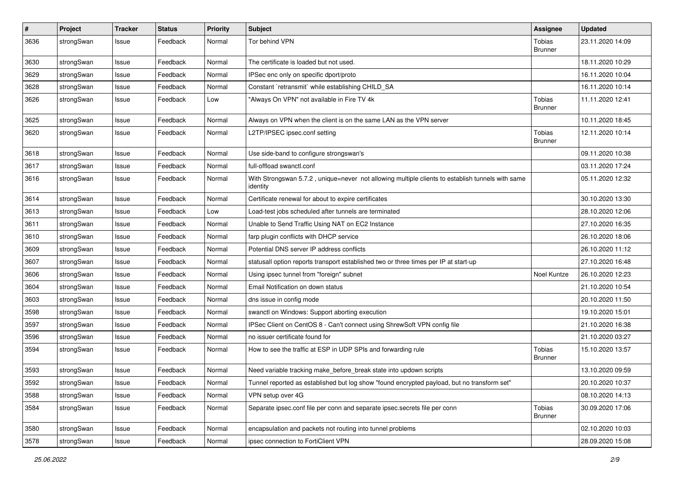| #    | Project    | <b>Tracker</b> | <b>Status</b> | <b>Priority</b> | Subject                                                                                                      | Assignee                        | <b>Updated</b>   |
|------|------------|----------------|---------------|-----------------|--------------------------------------------------------------------------------------------------------------|---------------------------------|------------------|
| 3636 | strongSwan | Issue          | Feedback      | Normal          | Tor behind VPN                                                                                               | Tobias<br><b>Brunner</b>        | 23.11.2020 14:09 |
| 3630 | strongSwan | Issue          | Feedback      | Normal          | The certificate is loaded but not used.                                                                      |                                 | 18.11.2020 10:29 |
| 3629 | strongSwan | Issue          | Feedback      | Normal          | IPSec enc only on specific dport/proto                                                                       |                                 | 16.11.2020 10:04 |
| 3628 | strongSwan | Issue          | Feedback      | Normal          | Constant `retransmit` while establishing CHILD_SA                                                            |                                 | 16.11.2020 10:14 |
| 3626 | strongSwan | Issue          | Feedback      | Low             | "Always On VPN" not available in Fire TV 4k                                                                  | <b>Tobias</b><br><b>Brunner</b> | 11.11.2020 12:41 |
| 3625 | strongSwan | Issue          | Feedback      | Normal          | Always on VPN when the client is on the same LAN as the VPN server                                           |                                 | 10.11.2020 18:45 |
| 3620 | strongSwan | Issue          | Feedback      | Normal          | L2TP/IPSEC ipsec.conf setting                                                                                | Tobias<br><b>Brunner</b>        | 12.11.2020 10:14 |
| 3618 | strongSwan | Issue          | Feedback      | Normal          | Use side-band to configure strongswan's                                                                      |                                 | 09.11.2020 10:38 |
| 3617 | strongSwan | Issue          | Feedback      | Normal          | full-offload swanctl.conf                                                                                    |                                 | 03.11.2020 17:24 |
| 3616 | strongSwan | Issue          | Feedback      | Normal          | With Strongswan 5.7.2, unique=never not allowing multiple clients to establish tunnels with same<br>identity |                                 | 05.11.2020 12:32 |
| 3614 | strongSwan | Issue          | Feedback      | Normal          | Certificate renewal for about to expire certificates                                                         |                                 | 30.10.2020 13:30 |
| 3613 | strongSwan | Issue          | Feedback      | Low             | Load-test jobs scheduled after tunnels are terminated                                                        |                                 | 28.10.2020 12:06 |
| 3611 | strongSwan | Issue          | Feedback      | Normal          | Unable to Send Traffic Using NAT on EC2 Instance                                                             |                                 | 27.10.2020 16:35 |
| 3610 | strongSwan | Issue          | Feedback      | Normal          | farp plugin conflicts with DHCP service                                                                      |                                 | 26.10.2020 18:06 |
| 3609 | strongSwan | Issue          | Feedback      | Normal          | Potential DNS server IP address conflicts                                                                    |                                 | 26.10.2020 11:12 |
| 3607 | strongSwan | Issue          | Feedback      | Normal          | statusall option reports transport established two or three times per IP at start-up                         |                                 | 27.10.2020 16:48 |
| 3606 | strongSwan | Issue          | Feedback      | Normal          | Using ipsec tunnel from "foreign" subnet                                                                     | Noel Kuntze                     | 26.10.2020 12:23 |
| 3604 | strongSwan | Issue          | Feedback      | Normal          | Email Notification on down status                                                                            |                                 | 21.10.2020 10:54 |
| 3603 | strongSwan | Issue          | Feedback      | Normal          | dns issue in config mode                                                                                     |                                 | 20.10.2020 11:50 |
| 3598 | strongSwan | Issue          | Feedback      | Normal          | swanctl on Windows: Support aborting execution                                                               |                                 | 19.10.2020 15:01 |
| 3597 | strongSwan | Issue          | Feedback      | Normal          | IPSec Client on CentOS 8 - Can't connect using ShrewSoft VPN config file                                     |                                 | 21.10.2020 16:38 |
| 3596 | strongSwan | Issue          | Feedback      | Normal          | no issuer certificate found for                                                                              |                                 | 21.10.2020 03:27 |
| 3594 | strongSwan | Issue          | Feedback      | Normal          | How to see the traffic at ESP in UDP SPIs and forwarding rule                                                | Tobias<br><b>Brunner</b>        | 15.10.2020 13:57 |
| 3593 | strongSwan | Issue          | Feedback      | Normal          | Need variable tracking make_before_break state into updown scripts                                           |                                 | 13.10.2020 09:59 |
| 3592 | strongSwan | Issue          | Feedback      | Normal          | Tunnel reported as established but log show "found encrypted payload, but no transform set"                  |                                 | 20.10.2020 10:37 |
| 3588 | strongSwan | Issue          | Feedback      | Normal          | VPN setup over 4G                                                                                            |                                 | 08.10.2020 14:13 |
| 3584 | strongSwan | Issue          | Feedback      | Normal          | Separate ipsec.conf file per conn and separate ipsec.secrets file per conn                                   | <b>Tobias</b><br><b>Brunner</b> | 30.09.2020 17:06 |
| 3580 | strongSwan | Issue          | Feedback      | Normal          | encapsulation and packets not routing into tunnel problems                                                   |                                 | 02.10.2020 10:03 |
| 3578 | strongSwan | Issue          | Feedback      | Normal          | ipsec connection to FortiClient VPN                                                                          |                                 | 28.09.2020 15:08 |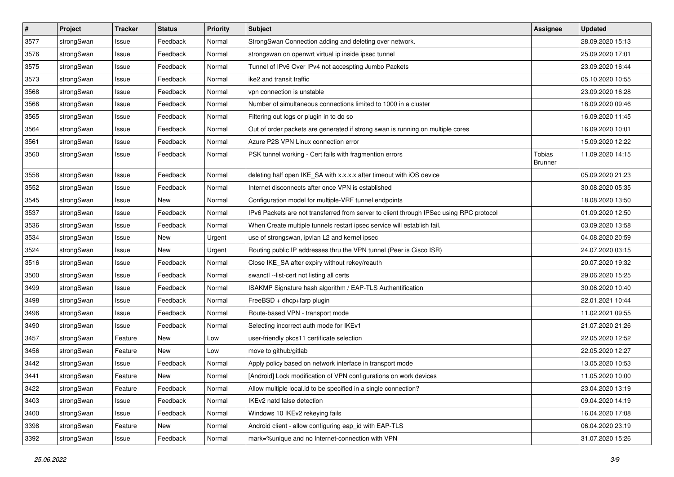| $\pmb{\#}$ | Project    | <b>Tracker</b> | <b>Status</b> | <b>Priority</b> | <b>Subject</b>                                                                          | Assignee                        | <b>Updated</b>   |
|------------|------------|----------------|---------------|-----------------|-----------------------------------------------------------------------------------------|---------------------------------|------------------|
| 3577       | strongSwan | Issue          | Feedback      | Normal          | StrongSwan Connection adding and deleting over network.                                 |                                 | 28.09.2020 15:13 |
| 3576       | strongSwan | Issue          | Feedback      | Normal          | strongswan on openwrt virtual ip inside ipsec tunnel                                    |                                 | 25.09.2020 17:01 |
| 3575       | strongSwan | Issue          | Feedback      | Normal          | Tunnel of IPv6 Over IPv4 not accespting Jumbo Packets                                   |                                 | 23.09.2020 16:44 |
| 3573       | strongSwan | lssue          | Feedback      | Normal          | ike2 and transit traffic                                                                |                                 | 05.10.2020 10:55 |
| 3568       | strongSwan | Issue          | Feedback      | Normal          | vpn connection is unstable                                                              |                                 | 23.09.2020 16:28 |
| 3566       | strongSwan | Issue          | Feedback      | Normal          | Number of simultaneous connections limited to 1000 in a cluster                         |                                 | 18.09.2020 09:46 |
| 3565       | strongSwan | Issue          | Feedback      | Normal          | Filtering out logs or plugin in to do so                                                |                                 | 16.09.2020 11:45 |
| 3564       | strongSwan | Issue          | Feedback      | Normal          | Out of order packets are generated if strong swan is running on multiple cores          |                                 | 16.09.2020 10:01 |
| 3561       | strongSwan | Issue          | Feedback      | Normal          | Azure P2S VPN Linux connection error                                                    |                                 | 15.09.2020 12:22 |
| 3560       | strongSwan | Issue          | Feedback      | Normal          | PSK tunnel working - Cert fails with fragmention errors                                 | <b>Tobias</b><br><b>Brunner</b> | 11.09.2020 14:15 |
| 3558       | strongSwan | lssue          | Feedback      | Normal          | deleting half open IKE_SA with x.x.x.x after timeout with iOS device                    |                                 | 05.09.2020 21:23 |
| 3552       | strongSwan | Issue          | Feedback      | Normal          | Internet disconnects after once VPN is established                                      |                                 | 30.08.2020 05:35 |
| 3545       | strongSwan | Issue          | New           | Normal          | Configuration model for multiple-VRF tunnel endpoints                                   |                                 | 18.08.2020 13:50 |
| 3537       | strongSwan | Issue          | Feedback      | Normal          | IPv6 Packets are not transferred from server to client through IPSec using RPC protocol |                                 | 01.09.2020 12:50 |
| 3536       | strongSwan | Issue          | Feedback      | Normal          | When Create multiple tunnels restart ipsec service will establish fail.                 |                                 | 03.09.2020 13:58 |
| 3534       | strongSwan | Issue          | New           | Urgent          | use of strongswan, ipvlan L2 and kernel ipsec                                           |                                 | 04.08.2020 20:59 |
| 3524       | strongSwan | Issue          | New           | Urgent          | Routing public IP addresses thru the VPN tunnel (Peer is Cisco ISR)                     |                                 | 24.07.2020 03:15 |
| 3516       | strongSwan | Issue          | Feedback      | Normal          | Close IKE_SA after expiry without rekey/reauth                                          |                                 | 20.07.2020 19:32 |
| 3500       | strongSwan | Issue          | Feedback      | Normal          | swanctl --list-cert not listing all certs                                               |                                 | 29.06.2020 15:25 |
| 3499       | strongSwan | Issue          | Feedback      | Normal          | ISAKMP Signature hash algorithm / EAP-TLS Authentification                              |                                 | 30.06.2020 10:40 |
| 3498       | strongSwan | lssue          | Feedback      | Normal          | FreeBSD + dhcp+farp plugin                                                              |                                 | 22.01.2021 10:44 |
| 3496       | strongSwan | Issue          | Feedback      | Normal          | Route-based VPN - transport mode                                                        |                                 | 11.02.2021 09:55 |
| 3490       | strongSwan | Issue          | Feedback      | Normal          | Selecting incorrect auth mode for IKEv1                                                 |                                 | 21.07.2020 21:26 |
| 3457       | strongSwan | Feature        | New           | Low             | user-friendly pkcs11 certificate selection                                              |                                 | 22.05.2020 12:52 |
| 3456       | strongSwan | Feature        | New           | Low             | move to github/gitlab                                                                   |                                 | 22.05.2020 12:27 |
| 3442       | strongSwan | Issue          | Feedback      | Normal          | Apply policy based on network interface in transport mode                               |                                 | 13.05.2020 10:53 |
| 3441       | strongSwan | Feature        | New           | Normal          | [Android] Lock modification of VPN configurations on work devices                       |                                 | 11.05.2020 10:00 |
| 3422       | strongSwan | Feature        | Feedback      | Normal          | Allow multiple local id to be specified in a single connection?                         |                                 | 23.04.2020 13:19 |
| 3403       | strongSwan | Issue          | Feedback      | Normal          | IKEv2 natd false detection                                                              |                                 | 09.04.2020 14:19 |
| 3400       | strongSwan | Issue          | Feedback      | Normal          | Windows 10 IKEv2 rekeying fails                                                         |                                 | 16.04.2020 17:08 |
| 3398       | strongSwan | Feature        | New           | Normal          | Android client - allow configuring eap_id with EAP-TLS                                  |                                 | 06.04.2020 23:19 |
| 3392       | strongSwan | Issue          | Feedback      | Normal          | mark=%unique and no Internet-connection with VPN                                        |                                 | 31.07.2020 15:26 |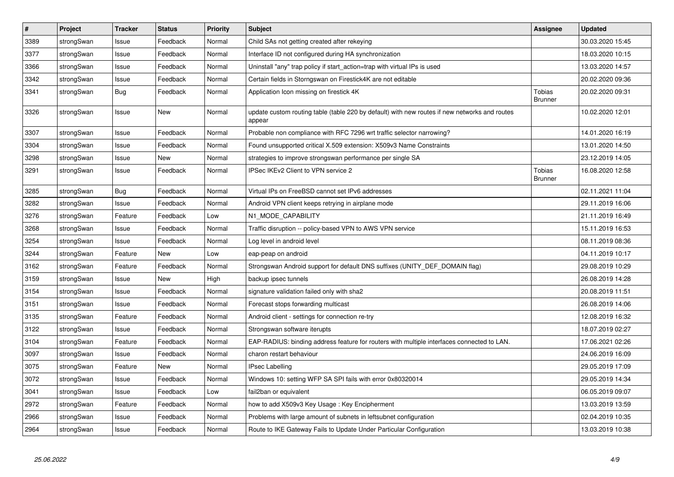| $\vert$ # | Project    | <b>Tracker</b> | <b>Status</b> | Priority | <b>Subject</b>                                                                                          | Assignee                        | <b>Updated</b>   |
|-----------|------------|----------------|---------------|----------|---------------------------------------------------------------------------------------------------------|---------------------------------|------------------|
| 3389      | strongSwan | Issue          | Feedback      | Normal   | Child SAs not getting created after rekeying                                                            |                                 | 30.03.2020 15:45 |
| 3377      | strongSwan | Issue          | Feedback      | Normal   | Interface ID not configured during HA synchronization                                                   |                                 | 18.03.2020 10:15 |
| 3366      | strongSwan | Issue          | Feedback      | Normal   | Uninstall "any" trap policy if start_action=trap with virtual IPs is used                               |                                 | 13.03.2020 14:57 |
| 3342      | strongSwan | Issue          | Feedback      | Normal   | Certain fields in Storngswan on Firestick4K are not editable                                            |                                 | 20.02.2020 09:36 |
| 3341      | strongSwan | Bug            | Feedback      | Normal   | Application Icon missing on firestick 4K                                                                | <b>Tobias</b><br><b>Brunner</b> | 20.02.2020 09:31 |
| 3326      | strongSwan | Issue          | <b>New</b>    | Normal   | update custom routing table (table 220 by default) with new routes if new networks and routes<br>appear |                                 | 10.02.2020 12:01 |
| 3307      | strongSwan | Issue          | Feedback      | Normal   | Probable non compliance with RFC 7296 wrt traffic selector narrowing?                                   |                                 | 14.01.2020 16:19 |
| 3304      | strongSwan | Issue          | Feedback      | Normal   | Found unsupported critical X.509 extension: X509v3 Name Constraints                                     |                                 | 13.01.2020 14:50 |
| 3298      | strongSwan | Issue          | <b>New</b>    | Normal   | strategies to improve strongswan performance per single SA                                              |                                 | 23.12.2019 14:05 |
| 3291      | strongSwan | Issue          | Feedback      | Normal   | IPSec IKEv2 Client to VPN service 2                                                                     | Tobias<br>Brunner               | 16.08.2020 12:58 |
| 3285      | strongSwan | <b>Bug</b>     | Feedback      | Normal   | Virtual IPs on FreeBSD cannot set IPv6 addresses                                                        |                                 | 02.11.2021 11:04 |
| 3282      | strongSwan | Issue          | Feedback      | Normal   | Android VPN client keeps retrying in airplane mode                                                      |                                 | 29.11.2019 16:06 |
| 3276      | strongSwan | Feature        | Feedback      | Low      | N1_MODE_CAPABILITY                                                                                      |                                 | 21.11.2019 16:49 |
| 3268      | strongSwan | Issue          | Feedback      | Normal   | Traffic disruption -- policy-based VPN to AWS VPN service                                               |                                 | 15.11.2019 16:53 |
| 3254      | strongSwan | Issue          | Feedback      | Normal   | Log level in android level                                                                              |                                 | 08.11.2019 08:36 |
| 3244      | strongSwan | Feature        | New           | Low      | eap-peap on android                                                                                     |                                 | 04.11.2019 10:17 |
| 3162      | strongSwan | Feature        | Feedback      | Normal   | Strongswan Android support for default DNS suffixes (UNITY_DEF_DOMAIN flag)                             |                                 | 29.08.2019 10:29 |
| 3159      | strongSwan | Issue          | <b>New</b>    | High     | backup ipsec tunnels                                                                                    |                                 | 26.08.2019 14:28 |
| 3154      | strongSwan | Issue          | Feedback      | Normal   | signature validation failed only with sha2                                                              |                                 | 20.08.2019 11:51 |
| 3151      | strongSwan | Issue          | Feedback      | Normal   | Forecast stops forwarding multicast                                                                     |                                 | 26.08.2019 14:06 |
| 3135      | strongSwan | Feature        | Feedback      | Normal   | Android client - settings for connection re-try                                                         |                                 | 12.08.2019 16:32 |
| 3122      | strongSwan | Issue          | Feedback      | Normal   | Strongswan software iterupts                                                                            |                                 | 18.07.2019 02:27 |
| 3104      | strongSwan | Feature        | Feedback      | Normal   | EAP-RADIUS: binding address feature for routers with multiple interfaces connected to LAN.              |                                 | 17.06.2021 02:26 |
| 3097      | strongSwan | Issue          | Feedback      | Normal   | charon restart behaviour                                                                                |                                 | 24.06.2019 16:09 |
| 3075      | strongSwan | Feature        | New           | Normal   | <b>IPsec Labelling</b>                                                                                  |                                 | 29.05.2019 17:09 |
| 3072      | strongSwan | Issue          | Feedback      | Normal   | Windows 10: setting WFP SA SPI fails with error 0x80320014                                              |                                 | 29.05.2019 14:34 |
| 3041      | strongSwan | Issue          | Feedback      | Low      | fail2ban or equivalent                                                                                  |                                 | 06.05.2019 09:07 |
| 2972      | strongSwan | Feature        | Feedback      | Normal   | how to add X509v3 Key Usage: Key Encipherment                                                           |                                 | 13.03.2019 13:59 |
| 2966      | strongSwan | Issue          | Feedback      | Normal   | Problems with large amount of subnets in leftsubnet configuration                                       |                                 | 02.04.2019 10:35 |
| 2964      | strongSwan | Issue          | Feedback      | Normal   | Route to IKE Gateway Fails to Update Under Particular Configuration                                     |                                 | 13.03.2019 10:38 |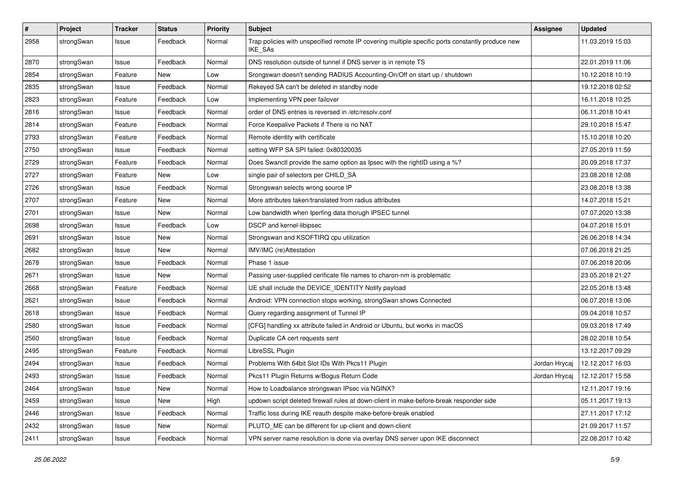| $\pmb{\#}$ | Project    | <b>Tracker</b> | <b>Status</b> | <b>Priority</b> | <b>Subject</b>                                                                                              | <b>Assignee</b> | <b>Updated</b>   |
|------------|------------|----------------|---------------|-----------------|-------------------------------------------------------------------------------------------------------------|-----------------|------------------|
| 2958       | strongSwan | Issue          | Feedback      | Normal          | Trap policies with unspecified remote IP covering multiple specific ports constantly produce new<br>IKE_SAs |                 | 11.03.2019 15:03 |
| 2870       | strongSwan | Issue          | Feedback      | Normal          | DNS resolution outside of tunnel if DNS server is in remote TS                                              |                 | 22.01.2019 11:06 |
| 2854       | strongSwan | Feature        | New           | Low             | Srongswan doesn't sending RADIUS Accounting-On/Off on start up / shutdown                                   |                 | 10.12.2018 10:19 |
| 2835       | strongSwan | Issue          | Feedback      | Normal          | Rekeyed SA can't be deleted in standby node                                                                 |                 | 19.12.2018 02:52 |
| 2823       | strongSwan | Feature        | Feedback      | Low             | Implementing VPN peer failover                                                                              |                 | 16.11.2018 10:25 |
| 2816       | strongSwan | Issue          | Feedback      | Normal          | order of DNS entries is reversed in /etc/resolv.conf                                                        |                 | 06.11.2018 10:41 |
| 2814       | strongSwan | Feature        | Feedback      | Normal          | Force Keepalive Packets if There is no NAT                                                                  |                 | 29.10.2018 15:47 |
| 2793       | strongSwan | Feature        | Feedback      | Normal          | Remote identity with certificate                                                                            |                 | 15.10.2018 10:20 |
| 2750       | strongSwan | Issue          | Feedback      | Normal          | setting WFP SA SPI failed: 0x80320035                                                                       |                 | 27.05.2019 11:59 |
| 2729       | strongSwan | Feature        | Feedback      | Normal          | Does Swanctl provide the same option as Ipsec with the rightID using a %?                                   |                 | 20.09.2018 17:37 |
| 2727       | strongSwan | Feature        | New           | Low             | single pair of selectors per CHILD_SA                                                                       |                 | 23.08.2018 12:08 |
| 2726       | strongSwan | Issue          | Feedback      | Normal          | Strongswan selects wrong source IP                                                                          |                 | 23.08.2018 13:38 |
| 2707       | strongSwan | Feature        | New           | Normal          | More attributes taken/translated from radius attributes                                                     |                 | 14.07.2018 15:21 |
| 2701       | strongSwan | Issue          | New           | Normal          | Low bandwidth when Iperfing data thorugh IPSEC tunnel                                                       |                 | 07.07.2020 13:38 |
| 2698       | strongSwan | Issue          | Feedback      | Low             | DSCP and kernel-libipsec                                                                                    |                 | 04.07.2018 15:01 |
| 2691       | strongSwan | Issue          | New           | Normal          | Strongswan and KSOFTIRQ cpu utilization                                                                     |                 | 26.06.2018 14:34 |
| 2682       | strongSwan | Issue          | New           | Normal          | IMV/IMC (re)Attestation                                                                                     |                 | 07.06.2018 21:25 |
| 2678       | strongSwan | Issue          | Feedback      | Normal          | Phase 1 issue                                                                                               |                 | 07.06.2018 20:06 |
| 2671       | strongSwan | Issue          | New           | Normal          | Passing user-supplied cerificate file names to charon-nm is problematic                                     |                 | 23.05.2018 21:27 |
| 2668       | strongSwan | Feature        | Feedback      | Normal          | UE shall include the DEVICE_IDENTITY Notify payload                                                         |                 | 22.05.2018 13:48 |
| 2621       | strongSwan | Issue          | Feedback      | Normal          | Android: VPN connection stops working, strongSwan shows Connected                                           |                 | 06.07.2018 13:06 |
| 2618       | strongSwan | Issue          | Feedback      | Normal          | Query regarding assignment of Tunnel IP                                                                     |                 | 09.04.2018 10:57 |
| 2580       | strongSwan | Issue          | Feedback      | Normal          | [CFG] handling xx attribute failed in Android or Ubuntu, but works in macOS                                 |                 | 09.03.2018 17:49 |
| 2560       | strongSwan | Issue          | Feedback      | Normal          | Duplicate CA cert requests sent                                                                             |                 | 28.02.2018 10:54 |
| 2495       | strongSwan | Feature        | Feedback      | Normal          | LibreSSL Plugin                                                                                             |                 | 13.12.2017 09:29 |
| 2494       | strongSwan | Issue          | Feedback      | Normal          | Problems With 64bit Slot IDs With Pkcs11 Plugin                                                             | Jordan Hrycaj   | 12.12.2017 16:03 |
| 2493       | strongSwan | Issue          | Feedback      | Normal          | Pkcs11 Plugin Returns w/Bogus Return Code                                                                   | Jordan Hrycaj   | 12.12.2017 15:58 |
| 2464       | strongSwan | Issue          | New           | Normal          | How to Loadbalance strongswan IPsec via NGINX?                                                              |                 | 12.11.2017 19:16 |
| 2459       | strongSwan | Issue          | New           | High            | updown script deleted firewall rules at down-client in make-before-break responder side                     |                 | 05.11.2017 19:13 |
| 2446       | strongSwan | Issue          | Feedback      | Normal          | Traffic loss during IKE reauth despite make-before-break enabled                                            |                 | 27.11.2017 17:12 |
| 2432       | strongSwan | Issue          | New           | Normal          | PLUTO_ME can be different for up-client and down-client                                                     |                 | 21.09.2017 11:57 |
| 2411       | strongSwan | Issue          | Feedback      | Normal          | VPN server name resolution is done via overlay DNS server upon IKE disconnect                               |                 | 22.08.2017 10:42 |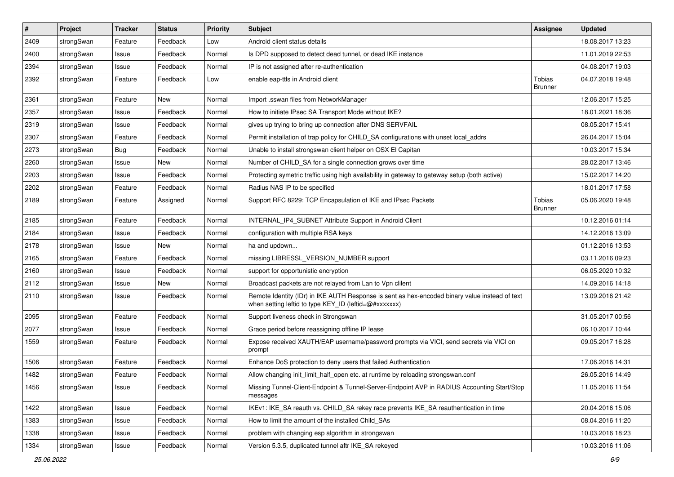| $\vert$ # | Project    | <b>Tracker</b> | <b>Status</b> | Priority | Subject                                                                                                                                                 | <b>Assignee</b>                 | <b>Updated</b>   |
|-----------|------------|----------------|---------------|----------|---------------------------------------------------------------------------------------------------------------------------------------------------------|---------------------------------|------------------|
| 2409      | strongSwan | Feature        | Feedback      | Low      | Android client status details                                                                                                                           |                                 | 18.08.2017 13:23 |
| 2400      | strongSwan | Issue          | Feedback      | Normal   | Is DPD supposed to detect dead tunnel, or dead IKE instance                                                                                             |                                 | 11.01.2019 22:53 |
| 2394      | strongSwan | Issue          | Feedback      | Normal   | IP is not assigned after re-authentication                                                                                                              |                                 | 04.08.2017 19:03 |
| 2392      | strongSwan | Feature        | Feedback      | Low      | enable eap-ttls in Android client                                                                                                                       | <b>Tobias</b><br><b>Brunner</b> | 04.07.2018 19:48 |
| 2361      | strongSwan | Feature        | New           | Normal   | Import .sswan files from NetworkManager                                                                                                                 |                                 | 12.06.2017 15:25 |
| 2357      | strongSwan | Issue          | Feedback      | Normal   | How to initiate IPsec SA Transport Mode without IKE?                                                                                                    |                                 | 18.01.2021 18:36 |
| 2319      | strongSwan | Issue          | Feedback      | Normal   | gives up trying to bring up connection after DNS SERVFAIL                                                                                               |                                 | 08.05.2017 15:41 |
| 2307      | strongSwan | Feature        | Feedback      | Normal   | Permit installation of trap policy for CHILD SA configurations with unset local addrs                                                                   |                                 | 26.04.2017 15:04 |
| 2273      | strongSwan | Bug            | Feedback      | Normal   | Unable to install strongswan client helper on OSX El Capitan                                                                                            |                                 | 10.03.2017 15:34 |
| 2260      | strongSwan | Issue          | New           | Normal   | Number of CHILD_SA for a single connection grows over time                                                                                              |                                 | 28.02.2017 13:46 |
| 2203      | strongSwan | Issue          | Feedback      | Normal   | Protecting symetric traffic using high availability in gateway to gateway setup (both active)                                                           |                                 | 15.02.2017 14:20 |
| 2202      | strongSwan | Feature        | Feedback      | Normal   | Radius NAS IP to be specified                                                                                                                           |                                 | 18.01.2017 17:58 |
| 2189      | strongSwan | Feature        | Assigned      | Normal   | Support RFC 8229: TCP Encapsulation of IKE and IPsec Packets                                                                                            | Tobias<br><b>Brunner</b>        | 05.06.2020 19:48 |
| 2185      | strongSwan | Feature        | Feedback      | Normal   | INTERNAL_IP4_SUBNET Attribute Support in Android Client                                                                                                 |                                 | 10.12.2016 01:14 |
| 2184      | strongSwan | Issue          | Feedback      | Normal   | configuration with multiple RSA keys                                                                                                                    |                                 | 14.12.2016 13:09 |
| 2178      | strongSwan | Issue          | New           | Normal   | ha and updown                                                                                                                                           |                                 | 01.12.2016 13:53 |
| 2165      | strongSwan | Feature        | Feedback      | Normal   | missing LIBRESSL_VERSION_NUMBER support                                                                                                                 |                                 | 03.11.2016 09:23 |
| 2160      | strongSwan | Issue          | Feedback      | Normal   | support for opportunistic encryption                                                                                                                    |                                 | 06.05.2020 10:32 |
| 2112      | strongSwan | Issue          | <b>New</b>    | Normal   | Broadcast packets are not relayed from Lan to Vpn clilent                                                                                               |                                 | 14.09.2016 14:18 |
| 2110      | strongSwan | Issue          | Feedback      | Normal   | Remote Identity (IDr) in IKE AUTH Response is sent as hex-encoded binary value instead of text<br>when setting leftid to type KEY_ID (leftid=@#xxxxxxx) |                                 | 13.09.2016 21:42 |
| 2095      | strongSwan | Feature        | Feedback      | Normal   | Support liveness check in Strongswan                                                                                                                    |                                 | 31.05.2017 00:56 |
| 2077      | strongSwan | Issue          | Feedback      | Normal   | Grace period before reassigning offline IP lease                                                                                                        |                                 | 06.10.2017 10:44 |
| 1559      | strongSwan | Feature        | Feedback      | Normal   | Expose received XAUTH/EAP username/password prompts via VICI, send secrets via VICI on<br>prompt                                                        |                                 | 09.05.2017 16:28 |
| 1506      | strongSwan | Feature        | Feedback      | Normal   | Enhance DoS protection to deny users that failed Authentication                                                                                         |                                 | 17.06.2016 14:31 |
| 1482      | strongSwan | Feature        | Feedback      | Normal   | Allow changing init_limit_half_open etc. at runtime by reloading strongswan.conf                                                                        |                                 | 26.05.2016 14:49 |
| 1456      | strongSwan | Issue          | Feedback      | Normal   | Missing Tunnel-Client-Endpoint & Tunnel-Server-Endpoint AVP in RADIUS Accounting Start/Stop<br>messages                                                 |                                 | 11.05.2016 11:54 |
| 1422      | strongSwan | Issue          | Feedback      | Normal   | IKEv1: IKE_SA reauth vs. CHILD_SA rekey race prevents IKE_SA reauthentication in time                                                                   |                                 | 20.04.2016 15:06 |
| 1383      | strongSwan | Issue          | Feedback      | Normal   | How to limit the amount of the installed Child_SAs                                                                                                      |                                 | 08.04.2016 11:20 |
| 1338      | strongSwan | Issue          | Feedback      | Normal   | problem with changing esp algorithm in strongswan                                                                                                       |                                 | 10.03.2016 18:23 |
| 1334      | strongSwan | Issue          | Feedback      | Normal   | Version 5.3.5, duplicated tunnel aftr IKE_SA rekeyed                                                                                                    |                                 | 10.03.2016 11:06 |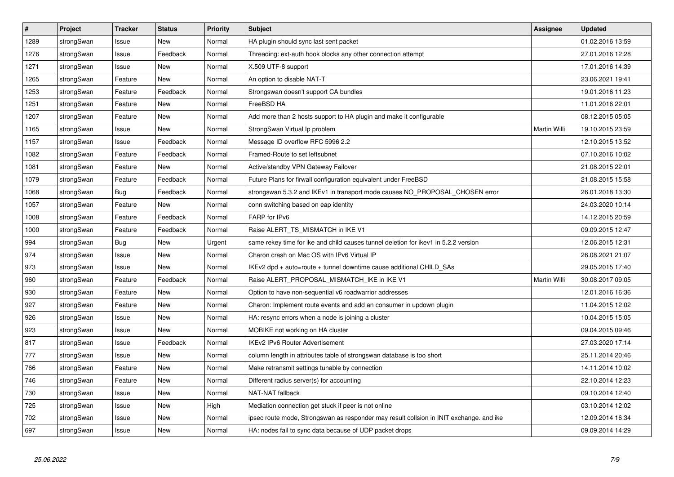| $\vert$ # | Project    | <b>Tracker</b> | <b>Status</b> | Priority | <b>Subject</b>                                                                          | Assignee     | <b>Updated</b>   |
|-----------|------------|----------------|---------------|----------|-----------------------------------------------------------------------------------------|--------------|------------------|
| 1289      | strongSwan | Issue          | <b>New</b>    | Normal   | HA plugin should sync last sent packet                                                  |              | 01.02.2016 13:59 |
| 1276      | strongSwan | Issue          | Feedback      | Normal   | Threading: ext-auth hook blocks any other connection attempt                            |              | 27.01.2016 12:28 |
| 1271      | strongSwan | Issue          | New           | Normal   | X.509 UTF-8 support                                                                     |              | 17.01.2016 14:39 |
| 1265      | strongSwan | Feature        | <b>New</b>    | Normal   | An option to disable NAT-T                                                              |              | 23.06.2021 19:41 |
| 1253      | strongSwan | Feature        | Feedback      | Normal   | Strongswan doesn't support CA bundles                                                   |              | 19.01.2016 11:23 |
| 1251      | strongSwan | Feature        | New           | Normal   | FreeBSD HA                                                                              |              | 11.01.2016 22:01 |
| 1207      | strongSwan | Feature        | <b>New</b>    | Normal   | Add more than 2 hosts support to HA plugin and make it configurable                     |              | 08.12.2015 05:05 |
| 1165      | strongSwan | Issue          | <b>New</b>    | Normal   | StrongSwan Virtual Ip problem                                                           | Martin Willi | 19.10.2015 23:59 |
| 1157      | strongSwan | Issue          | Feedback      | Normal   | Message ID overflow RFC 5996 2.2                                                        |              | 12.10.2015 13:52 |
| 1082      | strongSwan | Feature        | Feedback      | Normal   | Framed-Route to set leftsubnet                                                          |              | 07.10.2016 10:02 |
| 1081      | strongSwan | Feature        | New           | Normal   | Active/standby VPN Gateway Failover                                                     |              | 21.08.2015 22:01 |
| 1079      | strongSwan | Feature        | Feedback      | Normal   | Future Plans for firwall configuration equivalent under FreeBSD                         |              | 21.08.2015 15:58 |
| 1068      | strongSwan | Bug            | Feedback      | Normal   | strongswan 5.3.2 and IKEv1 in transport mode causes NO_PROPOSAL_CHOSEN error            |              | 26.01.2018 13:30 |
| 1057      | strongSwan | Feature        | <b>New</b>    | Normal   | conn switching based on eap identity                                                    |              | 24.03.2020 10:14 |
| 1008      | strongSwan | Feature        | Feedback      | Normal   | FARP for IPv6                                                                           |              | 14.12.2015 20:59 |
| 1000      | strongSwan | Feature        | Feedback      | Normal   | Raise ALERT_TS_MISMATCH in IKE V1                                                       |              | 09.09.2015 12:47 |
| 994       | strongSwan | Bug            | New           | Urgent   | same rekey time for ike and child causes tunnel deletion for ikev1 in 5.2.2 version     |              | 12.06.2015 12:31 |
| 974       | strongSwan | Issue          | <b>New</b>    | Normal   | Charon crash on Mac OS with IPv6 Virtual IP                                             |              | 26.08.2021 21:07 |
| 973       | strongSwan | Issue          | New           | Normal   | IKEv2 dpd + auto=route + tunnel downtime cause additional CHILD SAs                     |              | 29.05.2015 17:40 |
| 960       | strongSwan | Feature        | Feedback      | Normal   | Raise ALERT_PROPOSAL_MISMATCH_IKE in IKE V1                                             | Martin Willi | 30.08.2017 09:05 |
| 930       | strongSwan | Feature        | New           | Normal   | Option to have non-sequential v6 roadwarrior addresses                                  |              | 12.01.2016 16:36 |
| 927       | strongSwan | Feature        | New           | Normal   | Charon: Implement route events and add an consumer in updown plugin                     |              | 11.04.2015 12:02 |
| 926       | strongSwan | Issue          | New           | Normal   | HA: resync errors when a node is joining a cluster                                      |              | 10.04.2015 15:05 |
| 923       | strongSwan | Issue          | New           | Normal   | MOBIKE not working on HA cluster                                                        |              | 09.04.2015 09:46 |
| 817       | strongSwan | Issue          | Feedback      | Normal   | <b>IKEv2 IPv6 Router Advertisement</b>                                                  |              | 27.03.2020 17:14 |
| 777       | strongSwan | Issue          | <b>New</b>    | Normal   | column length in attributes table of strongswan database is too short                   |              | 25.11.2014 20:46 |
| 766       | strongSwan | Feature        | <b>New</b>    | Normal   | Make retransmit settings tunable by connection                                          |              | 14.11.2014 10:02 |
| 746       | strongSwan | Feature        | New           | Normal   | Different radius server(s) for accounting                                               |              | 22.10.2014 12:23 |
| 730       | strongSwan | Issue          | <b>New</b>    | Normal   | <b>NAT-NAT fallback</b>                                                                 |              | 09.10.2014 12:40 |
| 725       | strongSwan | Issue          | New           | High     | Mediation connection get stuck if peer is not online                                    |              | 03.10.2014 12:02 |
| 702       | strongSwan | Issue          | <b>New</b>    | Normal   | ipsec route mode, Strongswan as responder may result collsion in INIT exchange. and ike |              | 12.09.2014 16:34 |
| 697       | strongSwan | Issue          | <b>New</b>    | Normal   | HA: nodes fail to sync data because of UDP packet drops                                 |              | 09.09.2014 14:29 |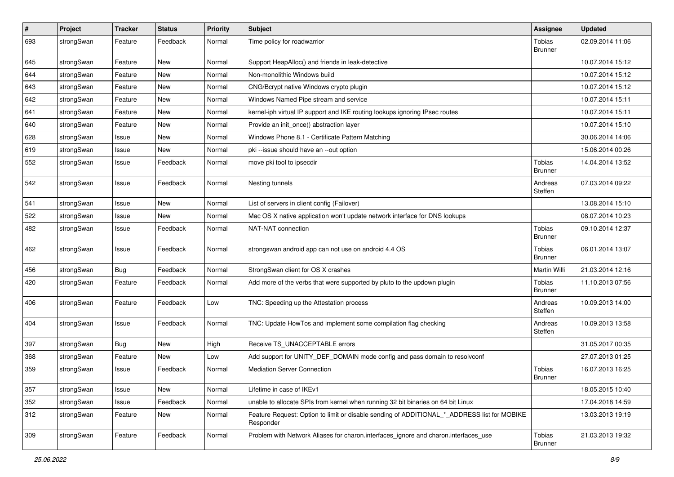| $\vert$ # | Project    | <b>Tracker</b> | <b>Status</b> | <b>Priority</b> | Subject                                                                                                  | Assignee                        | <b>Updated</b>   |
|-----------|------------|----------------|---------------|-----------------|----------------------------------------------------------------------------------------------------------|---------------------------------|------------------|
| 693       | strongSwan | Feature        | Feedback      | Normal          | Time policy for roadwarrior                                                                              | Tobias<br><b>Brunner</b>        | 02.09.2014 11:06 |
| 645       | strongSwan | Feature        | <b>New</b>    | Normal          | Support HeapAlloc() and friends in leak-detective                                                        |                                 | 10.07.2014 15:12 |
| 644       | strongSwan | Feature        | New           | Normal          | Non-monolithic Windows build                                                                             |                                 | 10.07.2014 15:12 |
| 643       | strongSwan | Feature        | <b>New</b>    | Normal          | CNG/Bcrypt native Windows crypto plugin                                                                  |                                 | 10.07.2014 15:12 |
| 642       | strongSwan | Feature        | New           | Normal          | Windows Named Pipe stream and service                                                                    |                                 | 10.07.2014 15:11 |
| 641       | strongSwan | Feature        | <b>New</b>    | Normal          | kernel-iph virtual IP support and IKE routing lookups ignoring IPsec routes                              |                                 | 10.07.2014 15:11 |
| 640       | strongSwan | Feature        | New           | Normal          | Provide an init_once() abstraction layer                                                                 |                                 | 10.07.2014 15:10 |
| 628       | strongSwan | Issue          | New           | Normal          | Windows Phone 8.1 - Certificate Pattern Matching                                                         |                                 | 30.06.2014 14:06 |
| 619       | strongSwan | Issue          | <b>New</b>    | Normal          | pki --issue should have an --out option                                                                  |                                 | 15.06.2014 00:26 |
| 552       | strongSwan | Issue          | Feedback      | Normal          | move pki tool to ipsecdir                                                                                | <b>Tobias</b><br><b>Brunner</b> | 14.04.2014 13:52 |
| 542       | strongSwan | Issue          | Feedback      | Normal          | Nesting tunnels                                                                                          | Andreas<br>Steffen              | 07.03.2014 09:22 |
| 541       | strongSwan | Issue          | <b>New</b>    | Normal          | List of servers in client config (Failover)                                                              |                                 | 13.08.2014 15:10 |
| 522       | strongSwan | Issue          | New           | Normal          | Mac OS X native application won't update network interface for DNS lookups                               |                                 | 08.07.2014 10:23 |
| 482       | strongSwan | Issue          | Feedback      | Normal          | NAT-NAT connection                                                                                       | Tobias<br><b>Brunner</b>        | 09.10.2014 12:37 |
| 462       | strongSwan | Issue          | Feedback      | Normal          | strongswan android app can not use on android 4.4 OS                                                     | <b>Tobias</b><br><b>Brunner</b> | 06.01.2014 13:07 |
| 456       | strongSwan | Bug            | Feedback      | Normal          | StrongSwan client for OS X crashes                                                                       | Martin Willi                    | 21.03.2014 12:16 |
| 420       | strongSwan | Feature        | Feedback      | Normal          | Add more of the verbs that were supported by pluto to the updown plugin                                  | Tobias<br><b>Brunner</b>        | 11.10.2013 07:56 |
| 406       | strongSwan | Feature        | Feedback      | Low             | TNC: Speeding up the Attestation process                                                                 | Andreas<br>Steffen              | 10.09.2013 14:00 |
| 404       | strongSwan | Issue          | Feedback      | Normal          | TNC: Update HowTos and implement some compilation flag checking                                          | Andreas<br>Steffen              | 10.09.2013 13:58 |
| 397       | strongSwan | <b>Bug</b>     | <b>New</b>    | High            | Receive TS_UNACCEPTABLE errors                                                                           |                                 | 31.05.2017 00:35 |
| 368       | strongSwan | Feature        | New           | Low             | Add support for UNITY_DEF_DOMAIN mode config and pass domain to resolvconf                               |                                 | 27.07.2013 01:25 |
| 359       | strongSwan | Issue          | Feedback      | Normal          | <b>Mediation Server Connection</b>                                                                       | Tobias<br><b>Brunner</b>        | 16.07.2013 16:25 |
| 357       | strongSwan | Issue          | New           | Normal          | Lifetime in case of IKEv1                                                                                |                                 | 18.05.2015 10:40 |
| 352       | strongSwan | Issue          | Feedback      | Normal          | unable to allocate SPIs from kernel when running 32 bit binaries on 64 bit Linux                         |                                 | 17.04.2018 14:59 |
| 312       | strongSwan | Feature        | New           | Normal          | Feature Request: Option to limit or disable sending of ADDITIONAL_*_ADDRESS list for MOBIKE<br>Responder |                                 | 13.03.2013 19:19 |
| 309       | strongSwan | Feature        | Feedback      | Normal          | Problem with Network Aliases for charon.interfaces ignore and charon.interfaces use                      | Tobias<br><b>Brunner</b>        | 21.03.2013 19:32 |